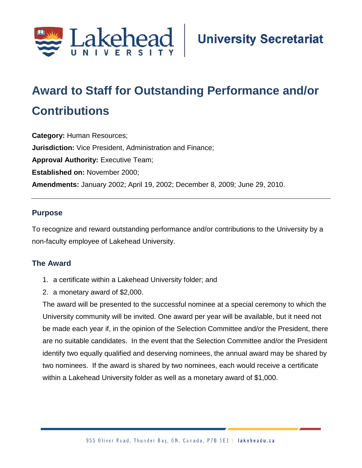

# **Award to Staff for Outstanding Performance and/or Contributions**

**Category:** Human Resources; **Jurisdiction:** Vice President, Administration and Finance; **Approval Authority:** Executive Team; **Established on:** November 2000; **Amendments:** January 2002; April 19, 2002; December 8, 2009; June 29, 2010.

#### **Purpose**

To recognize and reward outstanding performance and/or contributions to the University by a non-faculty employee of Lakehead University.

#### **The Award**

- 1. a certificate within a Lakehead University folder; and
- 2. a monetary award of \$2,000.

The award will be presented to the successful nominee at a special ceremony to which the University community will be invited. One award per year will be available, but it need not be made each year if, in the opinion of the Selection Committee and/or the President, there are no suitable candidates. In the event that the Selection Committee and/or the President identify two equally qualified and deserving nominees, the annual award may be shared by two nominees. If the award is shared by two nominees, each would receive a certificate within a Lakehead University folder as well as a monetary award of \$1,000.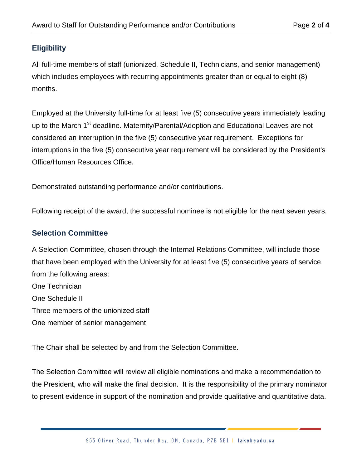## **Eligibility**

All full-time members of staff (unionized, Schedule II, Technicians, and senior management) which includes employees with recurring appointments greater than or equal to eight (8) months.

Employed at the University full-time for at least five (5) consecutive years immediately leading up to the March 1<sup>st</sup> deadline. Maternity/Parental/Adoption and Educational Leaves are not considered an interruption in the five (5) consecutive year requirement. Exceptions for interruptions in the five (5) consecutive year requirement will be considered by the President's Office/Human Resources Office.

Demonstrated outstanding performance and/or contributions.

Following receipt of the award, the successful nominee is not eligible for the next seven years.

#### **Selection Committee**

A Selection Committee, chosen through the Internal Relations Committee, will include those that have been employed with the University for at least five (5) consecutive years of service from the following areas:

One Technician One Schedule II Three members of the unionized staff One member of senior management

The Chair shall be selected by and from the Selection Committee.

The Selection Committee will review all eligible nominations and make a recommendation to the President, who will make the final decision. It is the responsibility of the primary nominator to present evidence in support of the nomination and provide qualitative and quantitative data.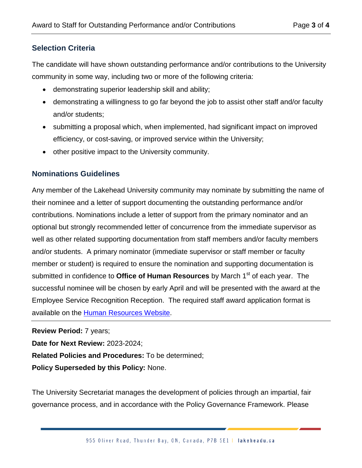### **Selection Criteria**

The candidate will have shown outstanding performance and/or contributions to the University community in some way, including two or more of the following criteria:

- demonstrating superior leadership skill and ability;
- demonstrating a willingness to go far beyond the job to assist other staff and/or faculty and/or students;
- submitting a proposal which, when implemented, had significant impact on improved efficiency, or cost-saving, or improved service within the University;
- other positive impact to the University community.

#### **Nominations Guidelines**

Any member of the Lakehead University community may nominate by submitting the name of their nominee and a letter of support documenting the outstanding performance and/or contributions. Nominations include a letter of support from the primary nominator and an optional but strongly recommended letter of concurrence from the immediate supervisor as well as other related supporting documentation from staff members and/or faculty members and/or students. A primary nominator (immediate supervisor or staff member or faculty member or student) is required to ensure the nomination and supporting documentation is submitted in confidence to **Office of Human Resources** by March 1<sup>st</sup> of each year. The successful nominee will be chosen by early April and will be presented with the award at the Employee Service Recognition Reception. The required staff award application format is available on the [Human Resources Website.](http://hr.lakeheadu.ca/)

#### **Review Period:** 7 years;

**Date for Next Review:** 2023-2024;

**Related Policies and Procedures:** To be determined;

**Policy Superseded by this Policy:** None.

The University Secretariat manages the development of policies through an impartial, fair governance process, and in accordance with the Policy Governance Framework. Please